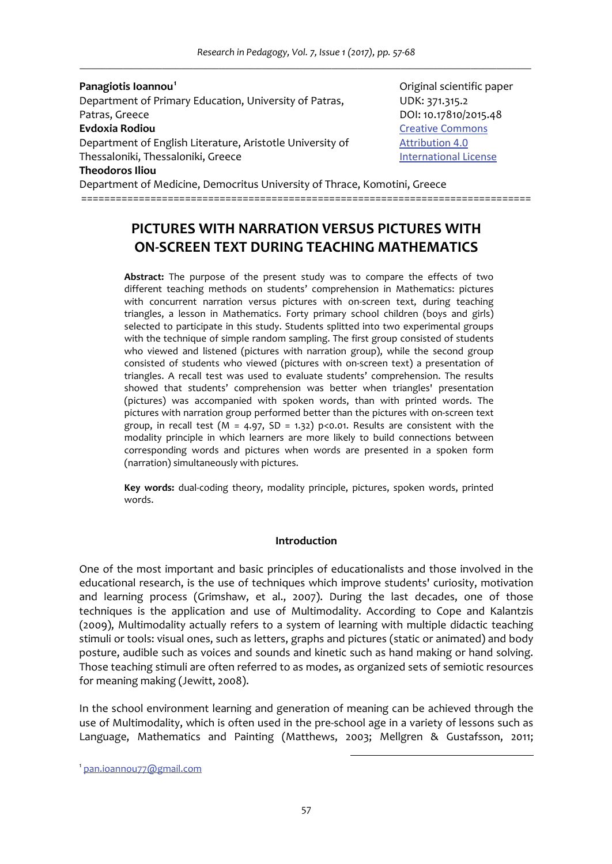*Research in Pedagogy, Vol. 7, Issue 1 (2017), pp. 57‐68 \_\_\_\_\_\_\_\_\_\_\_\_\_\_\_\_\_\_\_\_\_\_\_\_\_\_\_\_\_\_\_\_\_\_\_\_\_\_\_\_\_\_\_\_\_\_\_\_\_\_\_\_\_\_\_\_\_\_\_\_\_\_\_\_\_\_\_\_\_\_\_\_\_\_\_\_\_\_\_\_\_\_\_\_\_\_\_\_\_\_\_\_\_\_\_\_\_\_\_\_\_\_\_\_*

#### **Panagiotis Ioannou<sup>1</sup>**

Department of Primary Education, University of Patras, WIDK: 371.315.2 Patras, Greece DOI: 10.17810/2015.48 **Evdoxia Rodiou**  Creative Commons Department of English Literature, Aristotle University of *Attribution 4.0* Thessaloniki, Thessaloniki, Greece **International License Theodoros Iliou** 

 Original scientific paper

Department of Medicine, Democritus University of Thrace, Komotini, Greece ==============================================================================

# **PICTURES WITH NARRATION VERSUS PICTURES WITH ON‐SCREEN TEXT DURING TEACHING MATHEMATICS**

**Abstract:** The purpose of the present study was to compare the effects of two different teaching methods on students' comprehension in Mathematics: pictures with concurrent narration versus pictures with on-screen text, during teaching triangles, a lesson in Mathematics. Forty primary school children (boys and girls) selected to participate in this study. Students splitted into two experimental groups with the technique of simple random sampling. The first group consisted of students who viewed and listened (pictures with narration group), while the second group consisted of students who viewed (pictures with on‐screen text) a presentation of triangles. A recall test was used to evaluate students' comprehension. The results showed that students' comprehension was better when triangles' presentation (pictures) was accompanied with spoken words, than with printed words. The pictures with narration group performed better than the pictures with on‐screen text group, in recall test ( $M = 4.97$ ,  $SD = 1.32$ ) p<0.01. Results are consistent with the modality principle in which learners are more likely to build connections between corresponding words and pictures when words are presented in a spoken form (narration) simultaneously with pictures.

**Key words:** dual‐coding theory, modality principle, pictures, spoken words, printed words.

#### **Introduction**

One of the most important and basic principles of educationalists and those involved in the educational research, is the use of techniques which improve students' curiosity, motivation and learning process (Grimshaw, et al., 2007). During the last decades, one of those techniques is the application and use of Multimodality. According to Cope and Kalantzis (2009), Multimodality actually refers to a system of learning with multiple didactic teaching stimuli or tools: visual ones, such as letters, graphs and pictures (static or animated) and body posture, audible such as voices and sounds and kinetic such as hand making or hand solving. Those teaching stimuli are often referred to as modes, as organized sets of semiotic resources for meaning making (Jewitt, 2008).

In the school environment learning and generation of meaning can be achieved through the use of Multimodality, which is often used in the pre-school age in a variety of lessons such as Language, Mathematics and Painting (Matthews, 2003; Mellgren & Gustafsson, 2011;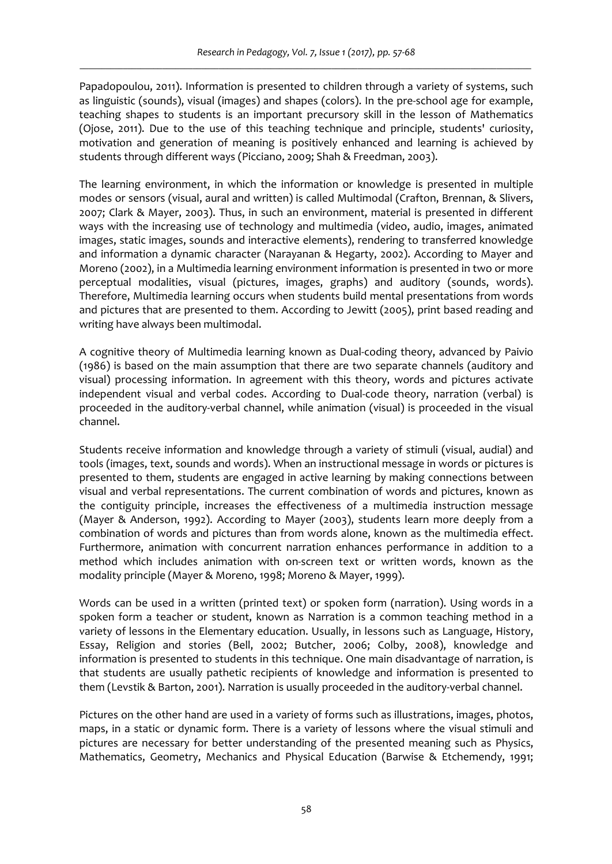Papadopoulou, 2011). Information is presented to children through a variety of systems, such as linguistic (sounds), visual (images) and shapes (colors). In the pre‐school age for example, teaching shapes to students is an important precursory skill in the lesson of Mathematics (Ojose, 2011). Due to the use of this teaching technique and principle, students' curiosity, motivation and generation of meaning is positively enhanced and learning is achieved by students through different ways (Picciano, 2009; Shah & Freedman, 2003).

The learning environment, in which the information or knowledge is presented in multiple modes or sensors (visual, aural and written) is called Multimodal (Crafton, Brennan, & Slivers, 2007; Clark & Mayer, 2003). Thus, in such an environment, material is presented in different ways with the increasing use of technology and multimedia (video, audio, images, animated images, static images, sounds and interactive elements), rendering to transferred knowledge and information a dynamic character (Narayanan & Hegarty, 2002). According to Mayer and Moreno (2002), in a Multimedia learning environment information is presented in two or more perceptual modalities, visual (pictures, images, graphs) and auditory (sounds, words). Therefore, Multimedia learning occurs when students build mental presentations from words and pictures that are presented to them. According to Jewitt (2005), print based reading and writing have always been multimodal.

A cognitive theory of Multimedia learning known as Dual‐coding theory, advanced by Paivio (1986) is based on the main assumption that there are two separate channels (auditory and visual) processing information. In agreement with this theory, words and pictures activate independent visual and verbal codes. According to Dual-code theory, narration (verbal) is proceeded in the auditory-verbal channel, while animation (visual) is proceeded in the visual channel.

Students receive information and knowledge through a variety of stimuli (visual, audial) and tools (images, text, sounds and words). When an instructional message in words or pictures is presented to them, students are engaged in active learning by making connections between visual and verbal representations. The current combination of words and pictures, known as the contiguity principle, increases the effectiveness of a multimedia instruction message (Mayer & Anderson, 1992). According to Mayer (2003), students learn more deeply from a combination of words and pictures than from words alone, known as the multimedia effect. Furthermore, animation with concurrent narration enhances performance in addition to a method which includes animation with on-screen text or written words, known as the modality principle (Mayer & Moreno, 1998; Moreno & Mayer, 1999).

Words can be used in a written (printed text) or spoken form (narration). Using words in a spoken form a teacher or student, known as Narration is a common teaching method in a variety of lessons in the Elementary education. Usually, in lessons such as Language, History, Essay, Religion and stories (Bell, 2002; Butcher, 2006; Colby, 2008), knowledge and information is presented to students in this technique. One main disadvantage of narration, is that students are usually pathetic recipients of knowledge and information is presented to them (Levstik & Barton, 2001). Narration is usually proceeded in the auditory-verbal channel.

Pictures on the other hand are used in a variety of forms such as illustrations, images, photos, maps, in a static or dynamic form. There is a variety of lessons where the visual stimuli and pictures are necessary for better understanding of the presented meaning such as Physics, Mathematics, Geometry, Mechanics and Physical Education (Barwise & Etchemendy, 1991;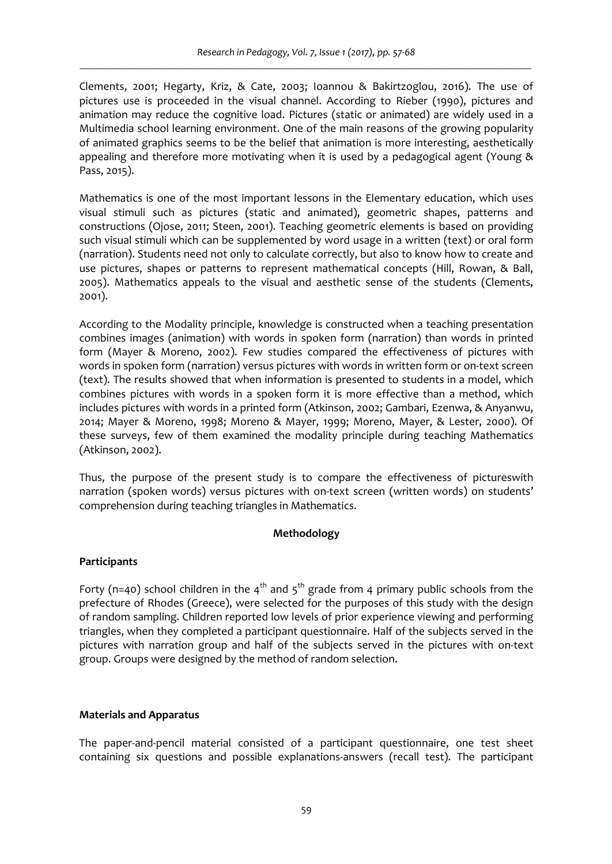Clements, 2001; Hegarty, Kriz, & Cate, 2003; Ioannou & Bakirtzoglou, 2016). The use of pictures use is proceeded in the visual channel. According to Rieber (1990), pictures and animation may reduce the cognitive load. Pictures (static or animated) are widely used in a Multimedia school learning environment. One of the main reasons of the growing popularity of animated graphics seems to be the belief that animation is more interesting, aesthetically appealing and therefore more motivating when it is used by a pedagogical agent (Young & Pass, 2015).

Mathematics is one of the most important lessons in the Elementary education, which uses visual stimuli such as pictures (static and animated), geometric shapes, patterns and constructions (Ojose, 2011; Steen, 2001). Teaching geometric elements is based on providing such visual stimuli which can be supplemented by word usage in a written (text) or oral form (narration). Students need not only to calculate correctly, but also to know how to create and use pictures, shapes or patterns to represent mathematical concepts (Hill, Rowan, & Ball, 2005). Mathematics appeals to the visual and aesthetic sense of the students (Clements, 2001).

According to the Modality principle, knowledge is constructed when a teaching presentation combines images (animation) with words in spoken form (narration) than words in printed form (Mayer & Moreno, 2002). Few studies compared the effectiveness of pictures with words in spoken form (narration) versus pictures with words in written form or on‐text screen (text). The results showed that when information is presented to students in a model, which combines pictures with words in a spoken form it is more effective than a method, which includes pictures with words in a printed form (Atkinson, 2002; Gambari, Ezenwa, & Anyanwu, 2014; Mayer & Moreno, 1998; Moreno & Mayer, 1999; Moreno, Mayer, & Lester, 2000). Of these surveys, few of them examined the modality principle during teaching Mathematics (Atkinson, 2002).

Thus, the purpose of the present study is to compare the effectiveness of pictureswith narration (spoken words) versus pictures with on-text screen (written words) on students' comprehension during teaching triangles in Mathematics.

# **Methodology**

# **Participants**

Forty (n=40) school children in the  $4<sup>th</sup>$  and  $5<sup>th</sup>$  grade from 4 primary public schools from the prefecture of Rhodes (Greece), were selected for the purposes of this study with the design of random sampling. Children reported low levels of prior experience viewing and performing triangles, when they completed a participant questionnaire. Half of the subjects served in the pictures with narration group and half of the subjects served in the pictures with on‐text group. Groups were designed by the method of random selection.

# **Materials and Apparatus**

The paper‐and‐pencil material consisted of a participant questionnaire, one test sheet containing six questions and possible explanations‐answers (recall test). The participant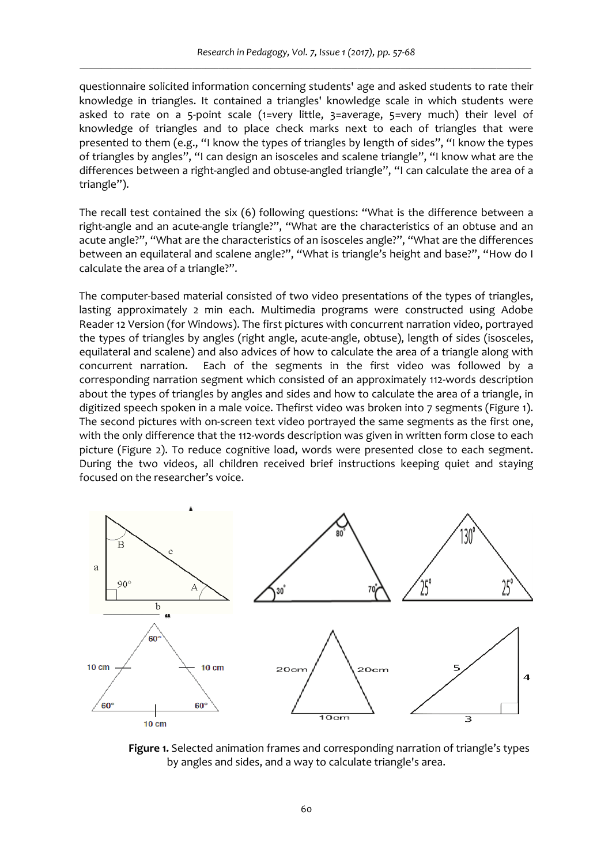questionnaire solicited information concerning students' age and asked students to rate their knowledge in triangles. It contained a triangles' knowledge scale in which students were asked to rate on a 5-point scale (1=very little, 3=average, 5=very much) their level of knowledge of triangles and to place check marks next to each of triangles that were presented to them (e.g., "I know the types of triangles by length of sides", "I know the types of triangles by angles", "I can design an isosceles and scalene triangle", "I know what are the differences between a right-angled and obtuse-angled triangle", "I can calculate the area of a triangle").

The recall test contained the six (6) following questions: "What is the difference between a right-angle and an acute-angle triangle?", "What are the characteristics of an obtuse and an acute angle?", "What are the characteristics of an isosceles angle?", "What are the differences between an equilateral and scalene angle?", "What is triangle's height and base?", "How do I calculate the area of a triangle?".

The computer-based material consisted of two video presentations of the types of triangles, lasting approximately 2 min each. Multimedia programs were constructed using Adobe Reader 12 Version (for Windows). The first pictures with concurrent narration video, portrayed the types of triangles by angles (right angle, acute-angle, obtuse), length of sides (isosceles, equilateral and scalene) and also advices of how to calculate the area of a triangle along with concurrent narration. Each of the segments in the first video was followed by a corresponding narration segment which consisted of an approximately 112‐words description about the types of triangles by angles and sides and how to calculate the area of a triangle, in digitized speech spoken in a male voice. Thefirst video was broken into 7 segments (Figure 1). The second pictures with on-screen text video portrayed the same segments as the first one, with the only difference that the 112-words description was given in written form close to each picture (Figure 2). To reduce cognitive load, words were presented close to each segment. During the two videos, all children received brief instructions keeping quiet and staying focused on the researcher's voice.



**Figure 1.** Selected animation frames and corresponding narration of triangle's types by angles and sides, and a way to calculate triangle's area.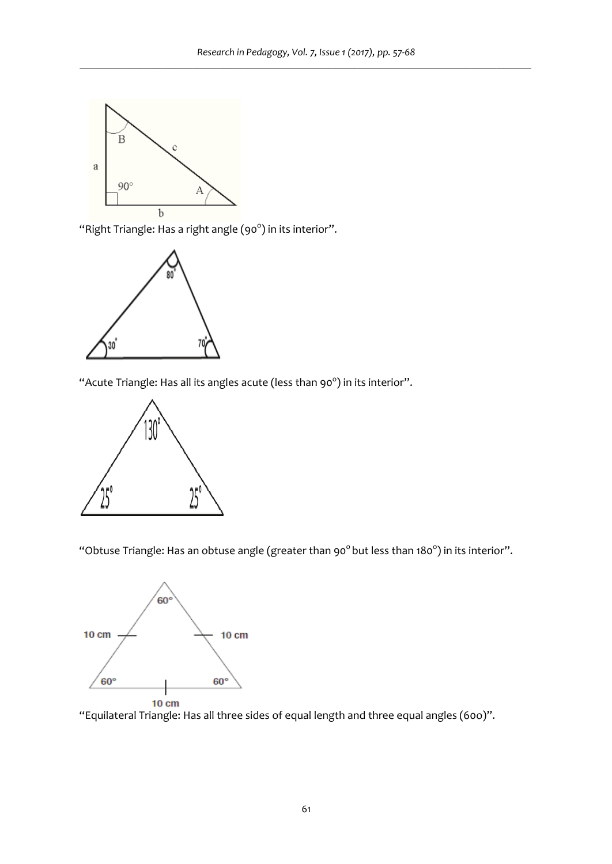

"Right Triangle: Has a right angle (90 $^{\circ}$ ) in its interior".



"Acute Triangle: Has all its angles acute (less than 90 $^{\circ}$ ) in its interior".



"Obtuse Triangle: Has an obtuse angle (greater than 90 $^{\circ}$  but less than 180 $^{\circ}$ ) in its interior".



"Equilateral Triangle: Has all three sides of equal length and three equal angles (60o)".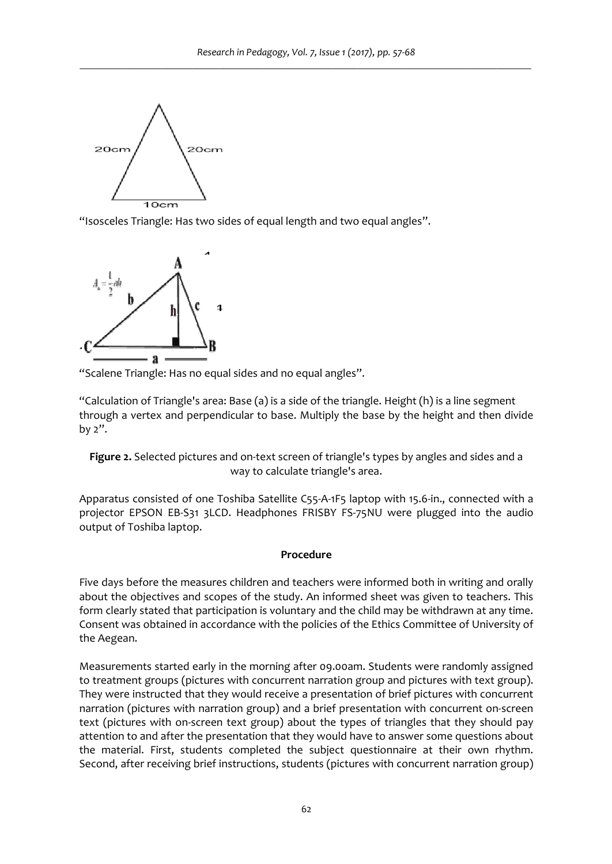

"Isosceles Triangle: Has two sides of equal length and two equal angles".



"Scalene Triangle: Has no equal sides and no equal angles".

"Calculation of Triangle's area: Base (a) is a side of the triangle. Height (h) is a line segment through a vertex and perpendicular to base. Multiply the base by the height and then divide by 2".

# Figure 2. Selected pictures and on-text screen of triangle's types by angles and sides and a way to calculate triangle's area.

Apparatus consisted of one Toshiba Satellite C55‐A‐1F5 laptop with 15.6‐in., connected with a projector EPSON EB‐S31 3LCD. Headphones FRISBY FS‐75NU were plugged into the audio output of Toshiba laptop.

# **Procedure**

Five days before the measures children and teachers were informed both in writing and orally about the objectives and scopes of the study. An informed sheet was given to teachers. This form clearly stated that participation is voluntary and the child may be withdrawn at any time. Consent was obtained in accordance with the policies of the Ethics Committee of University of the Aegean.

Measurements started early in the morning after 09.00am. Students were randomly assigned to treatment groups (pictures with concurrent narration group and pictures with text group). They were instructed that they would receive a presentation of brief pictures with concurrent narration (pictures with narration group) and a brief presentation with concurrent on‐screen text (pictures with on-screen text group) about the types of triangles that they should pay attention to and after the presentation that they would have to answer some questions about the material. First, students completed the subject questionnaire at their own rhythm. Second, after receiving brief instructions, students (pictures with concurrent narration group)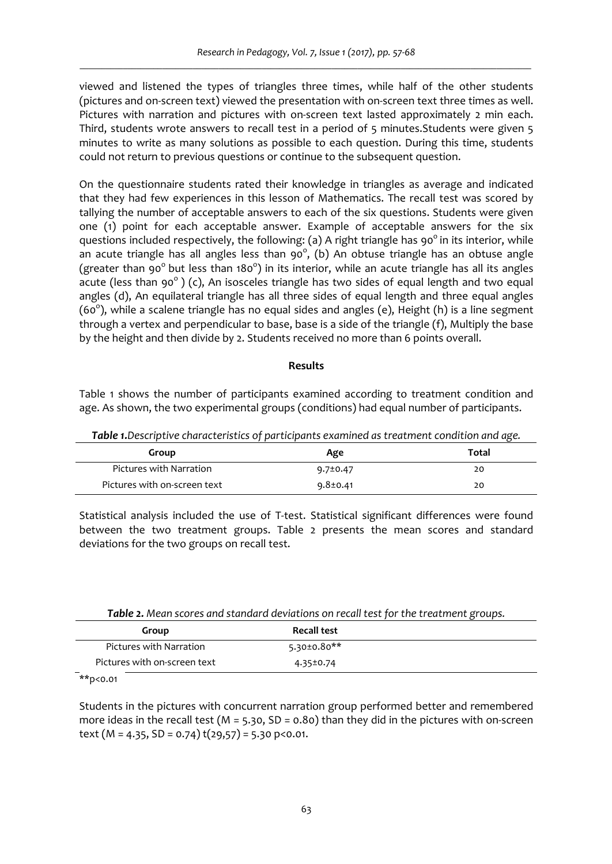viewed and listened the types of triangles three times, while half of the other students (pictures and on-screen text) viewed the presentation with on-screen text three times as well. Pictures with narration and pictures with on-screen text lasted approximately 2 min each. Third, students wrote answers to recall test in a period of 5 minutes.Students were given 5 minutes to write as many solutions as possible to each question. During this time, students could not return to previous questions or continue to the subsequent question.

On the questionnaire students rated their knowledge in triangles as average and indicated that they had few experiences in this lesson of Mathematics. The recall test was scored by tallying the number of acceptable answers to each of the six questions. Students were given one (1) point for each acceptable answer. Example of acceptable answers for the six questions included respectively, the following: (a) A right triangle has  $90^\circ$  in its interior, while an acute triangle has all angles less than 90 $^{\circ}$ , (b) An obtuse triangle has an obtuse angle (greater than 90<sup>°</sup> but less than 180<sup>°</sup>) in its interior, while an acute triangle has all its angles acute (less than 90 $^{\circ}$ ) (c), An isosceles triangle has two sides of equal length and two equal angles (d), An equilateral triangle has all three sides of equal length and three equal angles (60<sup>o</sup>), while a scalene triangle has no equal sides and angles (e), Height (h) is a line segment through a vertex and perpendicular to base, base is a side of the triangle (f), Multiply the base by the height and then divide by 2. Students received no more than 6 points overall.

#### **Results**

Table 1 shows the number of participants examined according to treatment condition and age. As shown, the two experimental groups (conditions) had equal number of participants.

| Table 1. Descriptive characteristics of participants examined as treatment condition and age. |  |  |
|-----------------------------------------------------------------------------------------------|--|--|
|                                                                                               |  |  |

| Group                        | Age            | Total |
|------------------------------|----------------|-------|
| Pictures with Narration      | $9.7 \pm 0.47$ | 20    |
| Pictures with on-screen text | $9.8 \pm 0.41$ | 20    |

Statistical analysis included the use of T-test. Statistical significant differences were found between the two treatment groups. Table 2 presents the mean scores and standard deviations for the two groups on recall test.

| <b>Table 2.</b> Mean scores and standard deviations on recall test for the treatment groups. |                    |  |  |
|----------------------------------------------------------------------------------------------|--------------------|--|--|
| Group                                                                                        | <b>Recall test</b> |  |  |
| Pictures with Narration                                                                      | $5.30 \pm 0.80**$  |  |  |
| Pictures with on-screen text                                                                 | 4.35±0.74          |  |  |

*Table 2. Mean scores and standard deviations on recall test for the treatment groups.*

 $*$  $p$ <0.01

Students in the pictures with concurrent narration group performed better and remembered more ideas in the recall test ( $M = 5.30$ , SD = 0.80) than they did in the pictures with on-screen text ( $M = 4.35$ ,  $SD = 0.74$ )  $t(29.57) = 5.30$  p<0.01.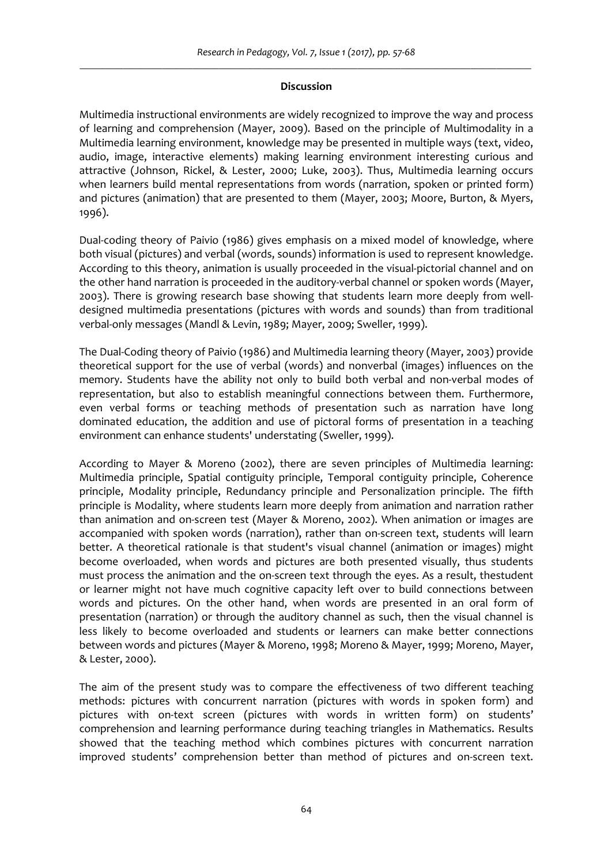#### **Discussion**

Multimedia instructional environments are widely recognized to improve the way and process of learning and comprehension (Mayer, 2009). Based on the principle of Multimodality in a Multimedia learning environment, knowledge may be presented in multiple ways (text, video, audio, image, interactive elements) making learning environment interesting curious and attractive (Johnson, Rickel, & Lester, 2000; Luke, 2003). Thus, Multimedia learning occurs when learners build mental representations from words (narration, spoken or printed form) and pictures (animation) that are presented to them (Mayer, 2003; Moore, Burton, & Myers, 1996).

Dual-coding theory of Paivio (1986) gives emphasis on a mixed model of knowledge, where both visual (pictures) and verbal (words, sounds) information is used to represent knowledge. According to this theory, animation is usually proceeded in the visual‐pictorial channel and on the other hand narration is proceeded in the auditory-verbal channel or spoken words (Mayer, 2003). There is growing research base showing that students learn more deeply from well‐ designed multimedia presentations (pictures with words and sounds) than from traditional verbal-only messages (Mandl & Levin, 1989; Mayer, 2009; Sweller, 1999).

The Dual‐Coding theory of Paivio (1986) and Multimedia learning theory (Mayer, 2003) provide theoretical support for the use of verbal (words) and nonverbal (images) influences on the memory. Students have the ability not only to build both verbal and non-verbal modes of representation, but also to establish meaningful connections between them. Furthermore, even verbal forms or teaching methods of presentation such as narration have long dominated education, the addition and use of pictoral forms of presentation in a teaching environment can enhance students' understating (Sweller, 1999).

According to Mayer & Moreno (2002), there are seven principles of Multimedia learning: Multimedia principle, Spatial contiguity principle, Temporal contiguity principle, Coherence principle, Modality principle, Redundancy principle and Personalization principle. The fifth principle is Modality, where students learn more deeply from animation and narration rather than animation and on‐screen test (Mayer & Moreno, 2002). When animation or images are accompanied with spoken words (narration), rather than on‐screen text, students will learn better. A theoretical rationale is that student's visual channel (animation or images) might become overloaded, when words and pictures are both presented visually, thus students must process the animation and the on-screen text through the eyes. As a result, thestudent or learner might not have much cognitive capacity left over to build connections between words and pictures. On the other hand, when words are presented in an oral form of presentation (narration) or through the auditory channel as such, then the visual channel is less likely to become overloaded and students or learners can make better connections between words and pictures (Mayer & Moreno, 1998; Moreno & Mayer, 1999; Moreno, Mayer, & Lester, 2000).

The aim of the present study was to compare the effectiveness of two different teaching methods: pictures with concurrent narration (pictures with words in spoken form) and pictures with on-text screen (pictures with words in written form) on students' comprehension and learning performance during teaching triangles in Mathematics. Results showed that the teaching method which combines pictures with concurrent narration improved students' comprehension better than method of pictures and on‐screen text.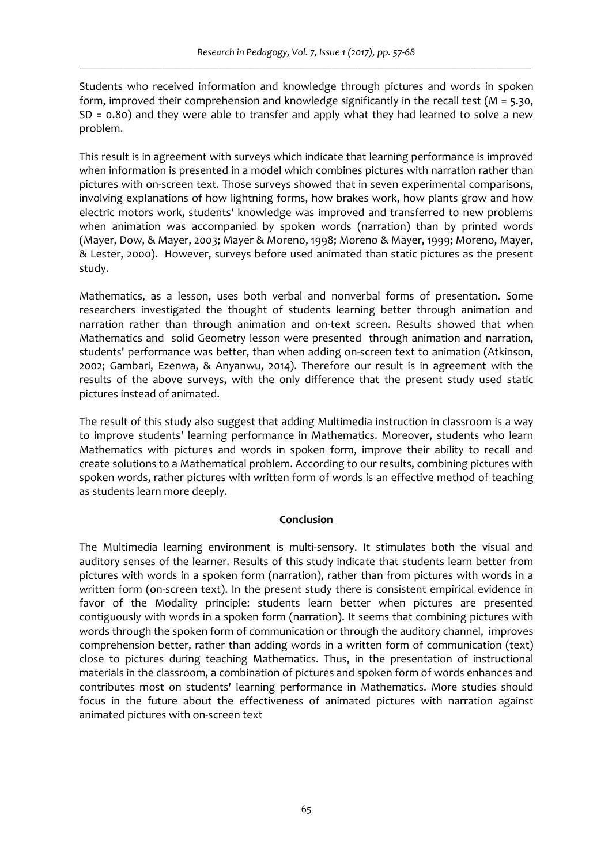Students who received information and knowledge through pictures and words in spoken form, improved their comprehension and knowledge significantly in the recall test ( $M = 5.30$ , SD = 0.80) and they were able to transfer and apply what they had learned to solve a new problem.

This result is in agreement with surveys which indicate that learning performance is improved when information is presented in a model which combines pictures with narration rather than pictures with on‐screen text. Those surveys showed that in seven experimental comparisons, involving explanations of how lightning forms, how brakes work, how plants grow and how electric motors work, students' knowledge was improved and transferred to new problems when animation was accompanied by spoken words (narration) than by printed words (Mayer, Dow, & Mayer, 2003; Mayer & Moreno, 1998; Moreno & Mayer, 1999; Moreno, Mayer, & Lester, 2000). However, surveys before used animated than static pictures as the present study.

Mathematics, as a lesson, uses both verbal and nonverbal forms of presentation. Some researchers investigated the thought of students learning better through animation and narration rather than through animation and on-text screen. Results showed that when Mathematics and solid Geometry lesson were presented through animation and narration, students' performance was better, than when adding on-screen text to animation (Atkinson, 2002; Gambari, Ezenwa, & Anyanwu, 2014). Therefore our result is in agreement with the results of the above surveys, with the only difference that the present study used static pictures instead of animated.

The result of this study also suggest that adding Multimedia instruction in classroom is a way to improve students' learning performance in Mathematics. Moreover, students who learn Mathematics with pictures and words in spoken form, improve their ability to recall and create solutions to a Mathematical problem. According to our results, combining pictures with spoken words, rather pictures with written form of words is an effective method of teaching as students learn more deeply.

# **Conclusion**

The Multimedia learning environment is multi‐sensory. It stimulates both the visual and auditory senses of the learner. Results of this study indicate that students learn better from pictures with words in a spoken form (narration), rather than from pictures with words in a written form (on-screen text). In the present study there is consistent empirical evidence in favor of the Modality principle: students learn better when pictures are presented contiguously with words in a spoken form (narration). It seems that combining pictures with words through the spoken form of communication or through the auditory channel, improves comprehension better, rather than adding words in a written form of communication (text) close to pictures during teaching Mathematics. Thus, in the presentation of instructional materials in the classroom, a combination of pictures and spoken form of words enhances and contributes most on students' learning performance in Mathematics. More studies should focus in the future about the effectiveness of animated pictures with narration against animated pictures with on‐screen text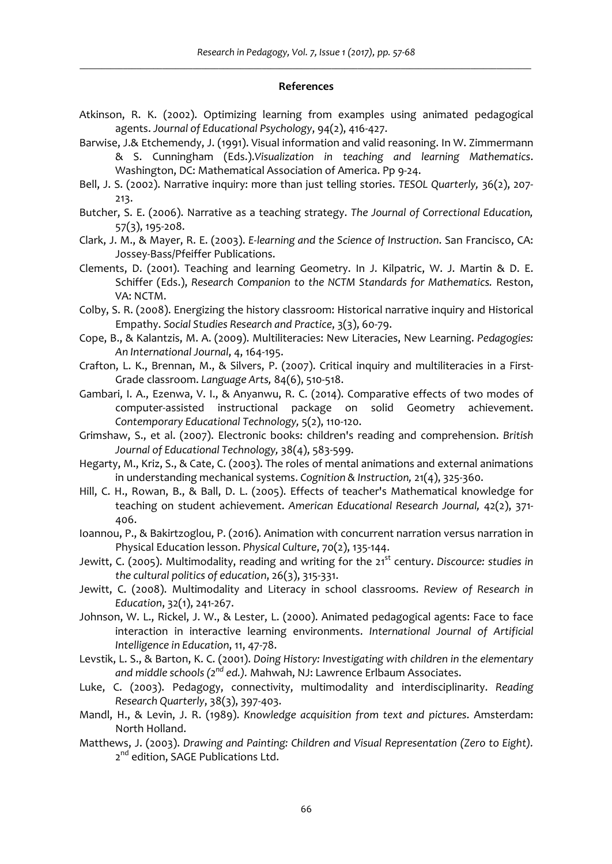#### **References**

- Atkinson, R. K. (2002). Optimizing learning from examples using animated pedagogical agents. *Journal of Educational Psychology*, 94(2), 416‐427.
- Barwise, J.& Etchemendy, J. (1991). Visual information and valid reasoning. In W. Zimmermann & S. Cunningham (Eds.).*Visualization in teaching and learning Mathematics*. Washington, DC: Mathematical Association of America. Pp 9‐24.
- Bell, J. S. (2002). Narrative inquiry: more than just telling stories. *TESOL Quarterly,* 36(2), 207‐ 213.
- Butcher, S. E. (2006). Narrative as a teaching strategy. *The Journal of Correctional Education,* 57(3), 195‐208.
- Clark, J. M., & Mayer, R. E. (2003). *E‐learning and the Science of Instruction*. San Francisco, CA: Jossey‐Bass/Pfeiffer Publications.
- Clements, D. (2001). Teaching and learning Geometry. In J. Kilpatric, W. J. Martin & D. E. Schiffer (Eds.), *Research Companion to the NCTM Standards for Mathematics.* Reston, VA: NCTM.
- Colby, S. R. (2008). Energizing the history classroom: Historical narrative inquiry and Historical Empathy. *Social Studies Research and Practice*, 3(3), 60‐79.
- Cope, B., & Kalantzis, M. A. (2009). Multiliteracies: New Literacies, New Learning. *Pedagogies: An International Journal*, 4, 164‐195.
- Crafton, L. K., Brennan, M., & Silvers, P. (2007). Critical inquiry and multiliteracies in a First‐ Grade classroom. *Language Arts,* 84(6), 510‐518.
- Gambari, I. A., Ezenwa, V. I., & Anyanwu, R. C. (2014). Comparative effects of two modes of computer‐assisted instructional package on solid Geometry achievement. *Contemporary Educational Technology,* 5(2), 110‐120.
- Grimshaw, S., et al. (2007). Electronic books: children's reading and comprehension. *British Journal of Educational Technology,* 38(4), 583‐599.
- Hegarty, M., Kriz, S., & Cate, C. (2003). The roles of mental animations and external animations in understanding mechanical systems. *Cognition & Instruction,* 21(4), 325‐360.
- Hill, C. H., Rowan, B., & Ball, D. L. (2005). Effects of teacher's Mathematical knowledge for teaching on student achievement. *American Educational Research Journal,* 42(2), 371‐ 406.
- Ioannou, P., & Bakirtzoglou, P. (2016). Animation with concurrent narration versus narration in Physical Education lesson. *Physical Culture*, 70(2), 135‐144.
- Jewitt, C. (2005). Multimodality, reading and writing for the 21st century. *Discource: studies in the cultural politics of education*, 26(3), 315‐331.
- Jewitt, C. (2008). Multimodality and Literacy in school classrooms. *Review of Research in Education*, 32(1), 241‐267.
- Johnson, W. L., Rickel, J. W., & Lester, L. (2000). Animated pedagogical agents: Face to face interaction in interactive learning environments. *International Journal of Artificial Intelligence in Education*, 11, 47‐78.
- Levstik, L. S., & Barton, K. C. (2001). *Doing History: Investigating with children in the elementary and middle schools (2nd ed.).* Mahwah, NJ: Lawrence Erlbaum Associates.
- Luke, C. (2003). Pedagogy, connectivity, multimodality and interdisciplinarity. *Reading Research Quarterly*, 38(3), 397‐403.
- Mandl, H., & Levin, J. R. (1989). *Knowledge acquisition from text and pictures*. Amsterdam: North Holland.
- Matthews, J. (2003). *Drawing and Painting: Children and Visual Representation (Zero to Eight).* 2<sup>nd</sup> edition, SAGE Publications Ltd.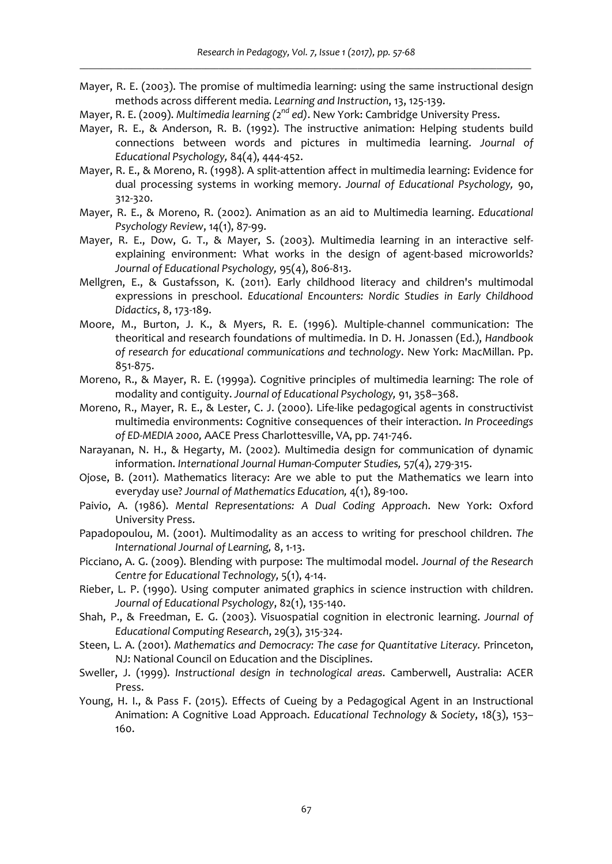- Mayer, R. E. (2003). The promise of multimedia learning: using the same instructional design methods across different media. *Learning and Instruction*, 13, 125‐139.
- Mayer, R. E. (2009). *Multimedia learning (2nd ed)*. New York: Cambridge University Press.
- Mayer, R. E., & Anderson, R. B. (1992). The instructive animation: Helping students build connections between words and pictures in multimedia learning. *Journal of Educational Psychology,* 84(4), 444‐452.
- Mayer, R. E., & Moreno, R. (1998). A split‐attention affect in multimedia learning: Evidence for dual processing systems in working memory. *Journal of Educational Psychology,* 90, 312‐320.
- Mayer, R. E., & Moreno, R. (2002). Animation as an aid to Multimedia learning. *Educational Psychology Review*, 14(1), 87‐99.
- Mayer, R. E., Dow, G. T., & Mayer, S. (2003). Multimedia learning in an interactive selfexplaining environment: What works in the design of agent-based microworlds? *Journal of Educational Psychology,* 95(4), 806‐813.
- Mellgren, E., & Gustafsson, K. (2011). Early childhood literacy and children's multimodal expressions in preschool. *Educational Encounters: Nordic Studies in Early Childhood Didactics*, 8, 173‐189.
- Moore, M., Burton, J. K., & Myers, R. E. (1996). Multiple‐channel communication: The theoritical and research foundations of multimedia. In D. H. Jonassen (Ed.), *Handbook of research for educational communications and technology*. New York: MacMillan. Pp. 851‐875.
- Moreno, R., & Mayer, R. E. (1999a). Cognitive principles of multimedia learning: The role of modality and contiguity. *Journal of Educational Psychology,* 91, 358–368.
- Moreno, R., Mayer, R. E., & Lester, C. J. (2000). Life-like pedagogical agents in constructivist multimedia environments: Cognitive consequences of their interaction. *In Proceedings of ED‐MEDIA 2000,* AACE Press Charlottesville, VA, pp. 741‐746.
- Narayanan, N. H., & Hegarty, M. (2002). Multimedia design for communication of dynamic information. *International Journal Human‐Computer Studies,* 57(4), 279‐315.
- Ojose, B. (2011). Mathematics literacy: Are we able to put the Mathematics we learn into everyday use? *Journal of Mathematics Education,* 4(1), 89‐100.
- Paivio, A. (1986). *Mental Representations: A Dual Coding Approach*. New York: Oxford University Press.
- Papadopoulou, M. (2001). Multimodality as an access to writing for preschool children. *The International Journal of Learning,* 8, 1‐13.
- Picciano, A. G. (2009). Blending with purpose: The multimodal model. *Journal of the Research Centre for Educational Technology,* 5(1), 4‐14.
- Rieber, L. P. (1990). Using computer animated graphics in science instruction with children. *Journal of Educational Psychology*, 82(1), 135‐140.
- Shah, P., & Freedman, E. G. (2003). Visuospatial cognition in electronic learning. *Journal of Educational Computing Research*, 29(3), 315‐324.
- Steen, L. A. (2001). *Mathematics and Democracy: The case for Quantitative Literacy.* Princeton, NJ: National Council on Education and the Disciplines.
- Sweller, J. (1999). *Instructional design in technological areas*. Camberwell, Australia: ACER Press.
- Young, H. I., & Pass F. (2015). Effects of Cueing by a Pedagogical Agent in an Instructional Animation: A Cognitive Load Approach. *Educational Technology & Society*, 18(3), 153– 160.